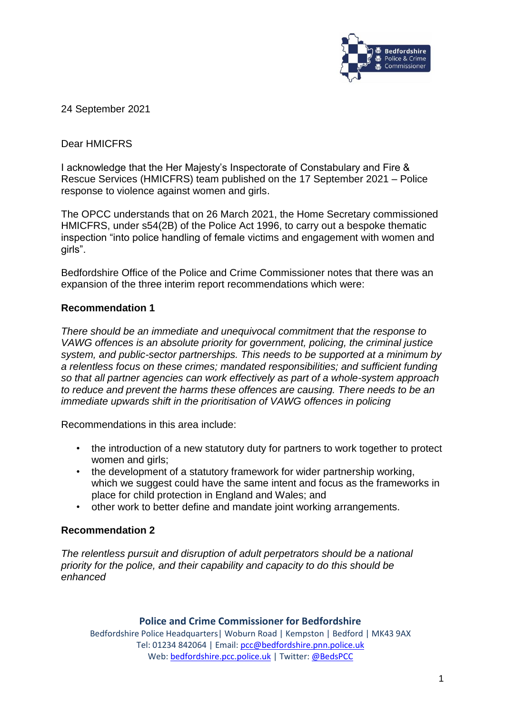

24 September 2021

## Dear HMICFRS

I acknowledge that the Her Majesty's Inspectorate of Constabulary and Fire & Rescue Services (HMICFRS) team published on the 17 September 2021 – Police response to violence against women and girls.

The OPCC understands that on 26 March 2021, the Home Secretary commissioned HMICFRS, under s54(2B) of the Police Act 1996, to carry out a bespoke thematic inspection "into police handling of female victims and engagement with women and girls".

Bedfordshire Office of the Police and Crime Commissioner notes that there was an expansion of the three interim report recommendations which were:

### **Recommendation 1**

*There should be an immediate and unequivocal commitment that the response to VAWG offences is an absolute priority for government, policing, the criminal justice system, and public-sector partnerships. This needs to be supported at a minimum by a relentless focus on these crimes; mandated responsibilities; and sufficient funding so that all partner agencies can work effectively as part of a whole-system approach to reduce and prevent the harms these offences are causing. There needs to be an immediate upwards shift in the prioritisation of VAWG offences in policing*

Recommendations in this area include:

- the introduction of a new statutory duty for partners to work together to protect women and girls:
- the development of a statutory framework for wider partnership working. which we suggest could have the same intent and focus as the frameworks in place for child protection in England and Wales; and
- other work to better define and mandate joint working arrangements.

### **Recommendation 2**

*The relentless pursuit and disruption of adult perpetrators should be a national priority for the police, and their capability and capacity to do this should be enhanced*

#### **Police and Crime Commissioner for Bedfordshire**

Bedfordshire Police Headquarters| Woburn Road | Kempston | Bedford | MK43 9AX Tel: 01234 842064 | Email[: pcc@bedfordshire.pnn.police.uk](mailto:pcc@bedfordshire.pnn.police.uk) Web: [bedfordshire.pcc.police.uk](http://www.bedfordshire.pcc.police.uk/) | Twitter[: @BedsPCC](https://twitter.com/BedsPCC)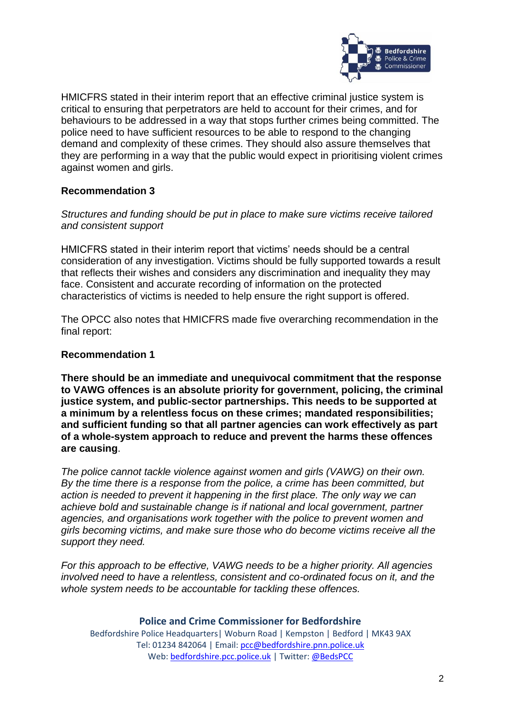

HMICFRS stated in their interim report that an effective criminal justice system is critical to ensuring that perpetrators are held to account for their crimes, and for behaviours to be addressed in a way that stops further crimes being committed. The police need to have sufficient resources to be able to respond to the changing demand and complexity of these crimes. They should also assure themselves that they are performing in a way that the public would expect in prioritising violent crimes against women and girls.

## **Recommendation 3**

*Structures and funding should be put in place to make sure victims receive tailored and consistent support*

HMICFRS stated in their interim report that victims' needs should be a central consideration of any investigation. Victims should be fully supported towards a result that reflects their wishes and considers any discrimination and inequality they may face. Consistent and accurate recording of information on the protected characteristics of victims is needed to help ensure the right support is offered.

The OPCC also notes that HMICFRS made five overarching recommendation in the final report:

### **Recommendation 1**

**There should be an immediate and unequivocal commitment that the response to VAWG offences is an absolute priority for government, policing, the criminal justice system, and public-sector partnerships. This needs to be supported at a minimum by a relentless focus on these crimes; mandated responsibilities; and sufficient funding so that all partner agencies can work effectively as part of a whole-system approach to reduce and prevent the harms these offences are causing**.

*The police cannot tackle violence against women and girls (VAWG) on their own. By the time there is a response from the police, a crime has been committed, but action is needed to prevent it happening in the first place. The only way we can achieve bold and sustainable change is if national and local government, partner agencies, and organisations work together with the police to prevent women and girls becoming victims, and make sure those who do become victims receive all the support they need.*

*For this approach to be effective, VAWG needs to be a higher priority. All agencies involved need to have a relentless, consistent and co-ordinated focus on it, and the whole system needs to be accountable for tackling these offences.*

**Police and Crime Commissioner for Bedfordshire** Bedfordshire Police Headquarters| Woburn Road | Kempston | Bedford | MK43 9AX Tel: 01234 842064 | Email[: pcc@bedfordshire.pnn.police.uk](mailto:pcc@bedfordshire.pnn.police.uk) Web: [bedfordshire.pcc.police.uk](http://www.bedfordshire.pcc.police.uk/) | Twitter[: @BedsPCC](https://twitter.com/BedsPCC)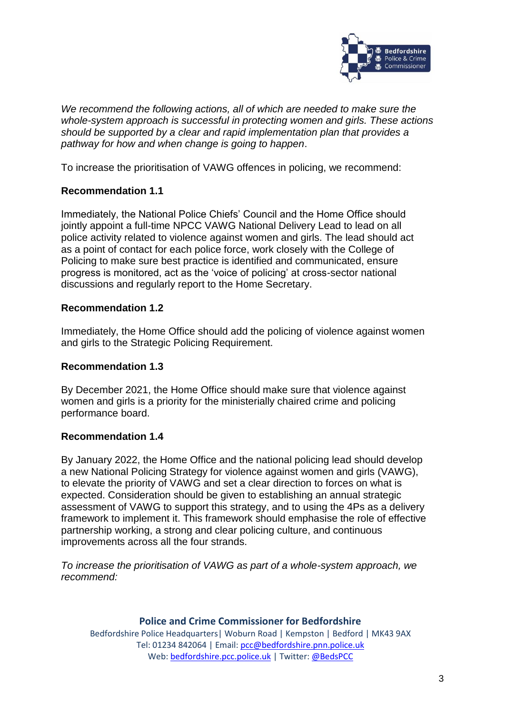

*We recommend the following actions, all of which are needed to make sure the whole-system approach is successful in protecting women and girls. These actions should be supported by a clear and rapid implementation plan that provides a pathway for how and when change is going to happen*.

To increase the prioritisation of VAWG offences in policing, we recommend:

# **Recommendation 1.1**

Immediately, the National Police Chiefs' Council and the Home Office should jointly appoint a full-time NPCC VAWG National Delivery Lead to lead on all police activity related to violence against women and girls. The lead should act as a point of contact for each police force, work closely with the College of Policing to make sure best practice is identified and communicated, ensure progress is monitored, act as the 'voice of policing' at cross-sector national discussions and regularly report to the Home Secretary.

## **Recommendation 1.2**

Immediately, the Home Office should add the policing of violence against women and girls to the Strategic Policing Requirement.

### **Recommendation 1.3**

By December 2021, the Home Office should make sure that violence against women and girls is a priority for the ministerially chaired crime and policing performance board.

### **Recommendation 1.4**

By January 2022, the Home Office and the national policing lead should develop a new National Policing Strategy for violence against women and girls (VAWG), to elevate the priority of VAWG and set a clear direction to forces on what is expected. Consideration should be given to establishing an annual strategic assessment of VAWG to support this strategy, and to using the 4Ps as a delivery framework to implement it. This framework should emphasise the role of effective partnership working, a strong and clear policing culture, and continuous improvements across all the four strands.

*To increase the prioritisation of VAWG as part of a whole-system approach, we recommend:*

#### **Police and Crime Commissioner for Bedfordshire** Bedfordshire Police Headquarters| Woburn Road | Kempston | Bedford | MK43 9AX Tel: 01234 842064 | Email[: pcc@bedfordshire.pnn.police.uk](mailto:pcc@bedfordshire.pnn.police.uk) Web: [bedfordshire.pcc.police.uk](http://www.bedfordshire.pcc.police.uk/) | Twitter[: @BedsPCC](https://twitter.com/BedsPCC)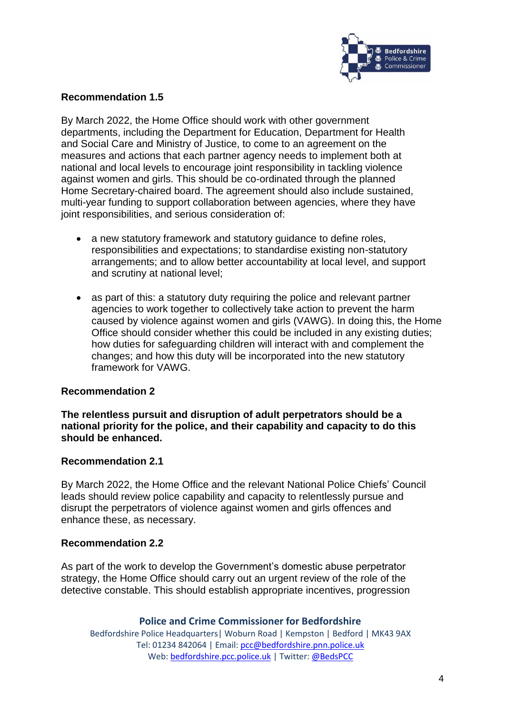

## **Recommendation 1.5**

By March 2022, the Home Office should work with other government departments, including the Department for Education, Department for Health and Social Care and Ministry of Justice, to come to an agreement on the measures and actions that each partner agency needs to implement both at national and local levels to encourage joint responsibility in tackling violence against women and girls. This should be co-ordinated through the planned Home Secretary-chaired board. The agreement should also include sustained, multi-year funding to support collaboration between agencies, where they have joint responsibilities, and serious consideration of:

- a new statutory framework and statutory quidance to define roles, responsibilities and expectations; to standardise existing non-statutory arrangements; and to allow better accountability at local level, and support and scrutiny at national level;
- as part of this: a statutory duty requiring the police and relevant partner agencies to work together to collectively take action to prevent the harm caused by violence against women and girls (VAWG). In doing this, the Home Office should consider whether this could be included in any existing duties; how duties for safeguarding children will interact with and complement the changes; and how this duty will be incorporated into the new statutory framework for VAWG.

### **Recommendation 2**

**The relentless pursuit and disruption of adult perpetrators should be a national priority for the police, and their capability and capacity to do this should be enhanced.**

#### **Recommendation 2.1**

By March 2022, the Home Office and the relevant National Police Chiefs' Council leads should review police capability and capacity to relentlessly pursue and disrupt the perpetrators of violence against women and girls offences and enhance these, as necessary.

#### **Recommendation 2.2**

As part of the work to develop the Government's domestic abuse perpetrator strategy, the Home Office should carry out an urgent review of the role of the detective constable. This should establish appropriate incentives, progression

#### **Police and Crime Commissioner for Bedfordshire**

Bedfordshire Police Headquarters| Woburn Road | Kempston | Bedford | MK43 9AX Tel: 01234 842064 | Email[: pcc@bedfordshire.pnn.police.uk](mailto:pcc@bedfordshire.pnn.police.uk) Web: [bedfordshire.pcc.police.uk](http://www.bedfordshire.pcc.police.uk/) | Twitter[: @BedsPCC](https://twitter.com/BedsPCC)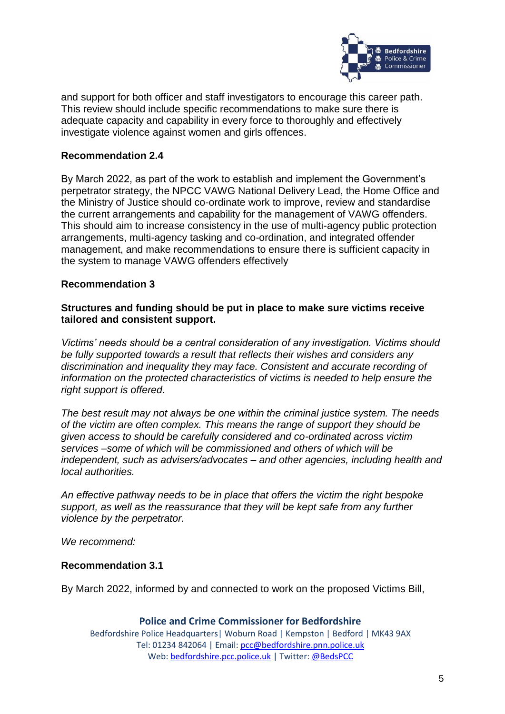

and support for both officer and staff investigators to encourage this career path. This review should include specific recommendations to make sure there is adequate capacity and capability in every force to thoroughly and effectively investigate violence against women and girls offences.

## **Recommendation 2.4**

By March 2022, as part of the work to establish and implement the Government's perpetrator strategy, the NPCC VAWG National Delivery Lead, the Home Office and the Ministry of Justice should co-ordinate work to improve, review and standardise the current arrangements and capability for the management of VAWG offenders. This should aim to increase consistency in the use of multi-agency public protection arrangements, multi-agency tasking and co-ordination, and integrated offender management, and make recommendations to ensure there is sufficient capacity in the system to manage VAWG offenders effectively

### **Recommendation 3**

### **Structures and funding should be put in place to make sure victims receive tailored and consistent support.**

*Victims' needs should be a central consideration of any investigation. Victims should be fully supported towards a result that reflects their wishes and considers any discrimination and inequality they may face. Consistent and accurate recording of information on the protected characteristics of victims is needed to help ensure the right support is offered.*

*The best result may not always be one within the criminal justice system. The needs of the victim are often complex. This means the range of support they should be given access to should be carefully considered and co-ordinated across victim services –some of which will be commissioned and others of which will be independent, such as advisers/advocates – and other agencies, including health and local authorities.* 

*An effective pathway needs to be in place that offers the victim the right bespoke support, as well as the reassurance that they will be kept safe from any further violence by the perpetrator.*

*We recommend:*

### **Recommendation 3.1**

By March 2022, informed by and connected to work on the proposed Victims Bill,

**Police and Crime Commissioner for Bedfordshire** Bedfordshire Police Headquarters| Woburn Road | Kempston | Bedford | MK43 9AX Tel: 01234 842064 | Email[: pcc@bedfordshire.pnn.police.uk](mailto:pcc@bedfordshire.pnn.police.uk) Web: [bedfordshire.pcc.police.uk](http://www.bedfordshire.pcc.police.uk/) | Twitter[: @BedsPCC](https://twitter.com/BedsPCC)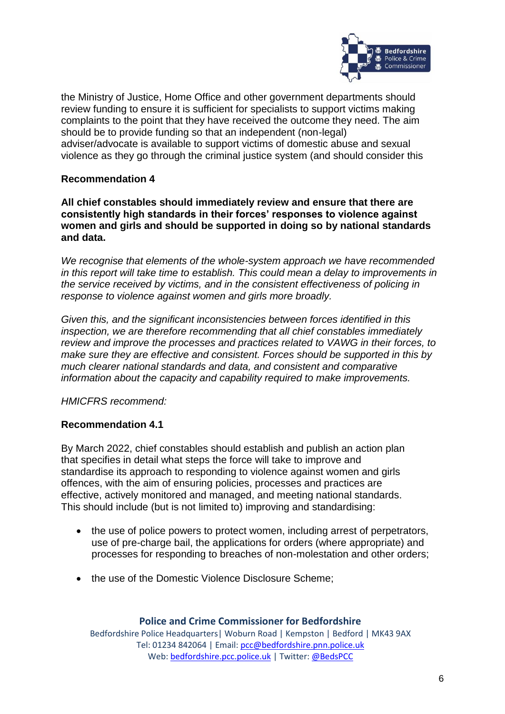

the Ministry of Justice, Home Office and other government departments should review funding to ensure it is sufficient for specialists to support victims making complaints to the point that they have received the outcome they need. The aim should be to provide funding so that an independent (non-legal) adviser/advocate is available to support victims of domestic abuse and sexual violence as they go through the criminal justice system (and should consider this

# **Recommendation 4**

**All chief constables should immediately review and ensure that there are consistently high standards in their forces' responses to violence against women and girls and should be supported in doing so by national standards and data.**

*We recognise that elements of the whole-system approach we have recommended in this report will take time to establish. This could mean a delay to improvements in the service received by victims, and in the consistent effectiveness of policing in response to violence against women and girls more broadly.*

*Given this, and the significant inconsistencies between forces identified in this inspection, we are therefore recommending that all chief constables immediately review and improve the processes and practices related to VAWG in their forces, to make sure they are effective and consistent. Forces should be supported in this by much clearer national standards and data, and consistent and comparative information about the capacity and capability required to make improvements.*

*HMICFRS recommend:*

### **Recommendation 4.1**

By March 2022, chief constables should establish and publish an action plan that specifies in detail what steps the force will take to improve and standardise its approach to responding to violence against women and girls offences, with the aim of ensuring policies, processes and practices are effective, actively monitored and managed, and meeting national standards. This should include (but is not limited to) improving and standardising:

- the use of police powers to protect women, including arrest of perpetrators, use of pre-charge bail, the applications for orders (where appropriate) and processes for responding to breaches of non-molestation and other orders;
- the use of the Domestic Violence Disclosure Scheme;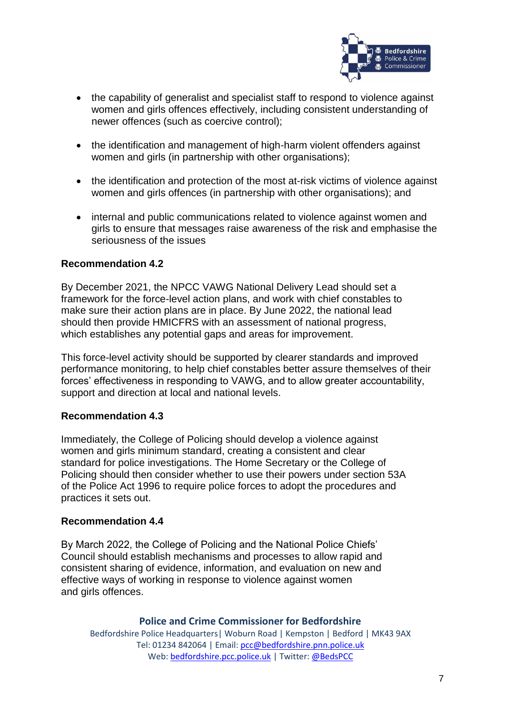

- the capability of generalist and specialist staff to respond to violence against women and girls offences effectively, including consistent understanding of newer offences (such as coercive control);
- the identification and management of high-harm violent offenders against women and girls (in partnership with other organisations);
- the identification and protection of the most at-risk victims of violence against women and girls offences (in partnership with other organisations); and
- internal and public communications related to violence against women and girls to ensure that messages raise awareness of the risk and emphasise the seriousness of the issues

### **Recommendation 4.2**

By December 2021, the NPCC VAWG National Delivery Lead should set a framework for the force-level action plans, and work with chief constables to make sure their action plans are in place. By June 2022, the national lead should then provide HMICFRS with an assessment of national progress, which establishes any potential gaps and areas for improvement.

This force-level activity should be supported by clearer standards and improved performance monitoring, to help chief constables better assure themselves of their forces' effectiveness in responding to VAWG, and to allow greater accountability, support and direction at local and national levels.

#### **Recommendation 4.3**

Immediately, the College of Policing should develop a violence against women and girls minimum standard, creating a consistent and clear standard for police investigations. The Home Secretary or the College of Policing should then consider whether to use their powers under section 53A of the Police Act 1996 to require police forces to adopt the procedures and practices it sets out.

#### **Recommendation 4.4**

By March 2022, the College of Policing and the National Police Chiefs' Council should establish mechanisms and processes to allow rapid and consistent sharing of evidence, information, and evaluation on new and effective ways of working in response to violence against women and girls offences.

#### **Police and Crime Commissioner for Bedfordshire**

Bedfordshire Police Headquarters| Woburn Road | Kempston | Bedford | MK43 9AX Tel: 01234 842064 | Email[: pcc@bedfordshire.pnn.police.uk](mailto:pcc@bedfordshire.pnn.police.uk) Web: [bedfordshire.pcc.police.uk](http://www.bedfordshire.pcc.police.uk/) | Twitter[: @BedsPCC](https://twitter.com/BedsPCC)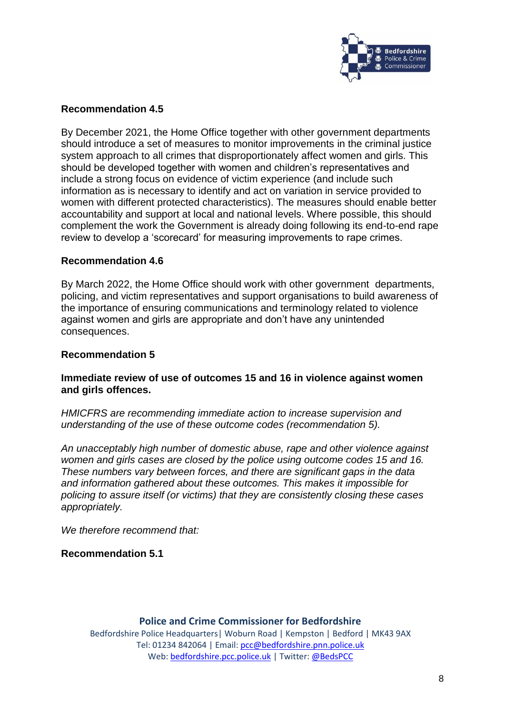

### **Recommendation 4.5**

By December 2021, the Home Office together with other government departments should introduce a set of measures to monitor improvements in the criminal justice system approach to all crimes that disproportionately affect women and girls. This should be developed together with women and children's representatives and include a strong focus on evidence of victim experience (and include such information as is necessary to identify and act on variation in service provided to women with different protected characteristics). The measures should enable better accountability and support at local and national levels. Where possible, this should complement the work the Government is already doing following its end-to-end rape review to develop a 'scorecard' for measuring improvements to rape crimes.

#### **Recommendation 4.6**

By March 2022, the Home Office should work with other government departments, policing, and victim representatives and support organisations to build awareness of the importance of ensuring communications and terminology related to violence against women and girls are appropriate and don't have any unintended consequences.

#### **Recommendation 5**

### **Immediate review of use of outcomes 15 and 16 in violence against women and girls offences.**

*HMICFRS are recommending immediate action to increase supervision and understanding of the use of these outcome codes (recommendation 5).*

*An unacceptably high number of domestic abuse, rape and other violence against women and girls cases are closed by the police using outcome codes 15 and 16. These numbers vary between forces, and there are significant gaps in the data and information gathered about these outcomes. This makes it impossible for policing to assure itself (or victims) that they are consistently closing these cases appropriately.*

*We therefore recommend that:*

**Recommendation 5.1**